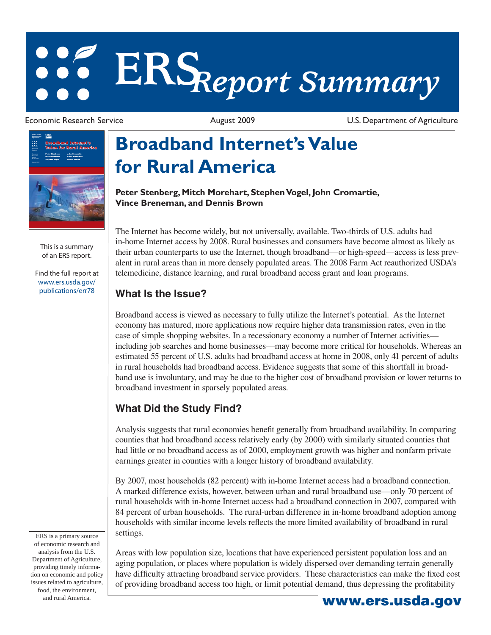# **ERS***Report Summary*

Economic Research Service **August 2009** August 2009 U.S. Department of Agriculture



This is a summary of an ERS report.

[Find the full report at](/publications/err78/)  www.ers.usda.gov/ publications/err78

ERS is a primary source of economic research and analysis from the U.S. Department of Agriculture, providing timely information on economic and policy issues related to agriculture, food, the environment, and rural America. **www.ers.usda.gov** 

## **Broadband Internet's Value for Rural America**

**Peter Stenberg, Mitch Morehart, Stephen Vogel, John Cromartie, Vince Breneman, and Dennis Brown** 

The Internet has become widely, but not universally, available. Two-thirds of U.S. adults had in-home Internet access by 2008. Rural businesses and consumers have become almost as likely as their urban counterparts to use the Internet, though broadband—or high-speed—access is less prevalent in rural areas than in more densely populated areas. The 2008 Farm Act reauthorized USDA's telemedicine, distance learning, and rural broadband access grant and loan programs.

#### **What Is the Issue?**

Broadband access is viewed as necessary to fully utilize the Internet's potential. As the Internet economy has matured, more applications now require higher data transmission rates, even in the case of simple shopping websites. In a recessionary economy a number of Internet activities including job searches and home businesses—may become more critical for households. Whereas an estimated 55 percent of U.S. adults had broadband access at home in 2008, only 41 percent of adults in rural households had broadband access. Evidence suggests that some of this shortfall in broadband use is involuntary, and may be due to the higher cost of broadband provision or lower returns to broadband investment in sparsely populated areas.

### **What Did the Study Find?**

Analysis suggests that rural economies benefit generally from broadband availability. In comparing counties that had broadband access relatively early (by 2000) with similarly situated counties that had little or no broadband access as of 2000, employment growth was higher and nonfarm private earnings greater in counties with a longer history of broadband availability.

By 2007, most households (82 percent) with in-home Internet access had a broadband connection. A marked difference exists, however, between urban and rural broadband use—only 70 percent of rural households with in-home Internet access had a broadband connection in 2007, compared with 84 percent of urban households. The rural-urban difference in in-home broadband adoption among households with similar income levels reflects the more limited availability of broadband in rural settings.

Areas with low population size, locations that have experienced persistent population loss and an aging population, or places where population is widely dispersed over demanding terrain generally have difficulty attracting broadband service providers. These characteristics can make the fixed cost of providing broadband access too high, or limit potential demand, thus depressing the profi tability